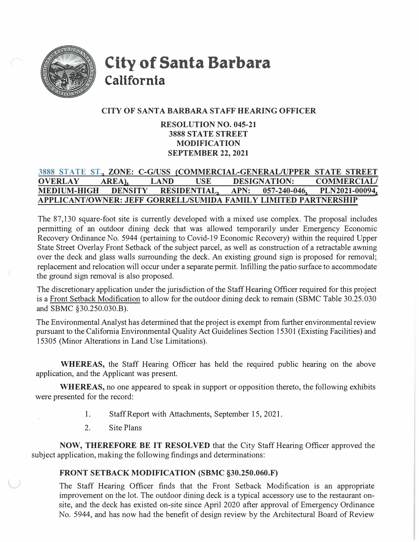

**City of Santa Barbara California** 

# **CITY OF SANTA BARBARA STAFF HEARING OFFICER**

# **RESOLUTION NO. 045-21 3888 ST A TE STREET MODIFICATION SEPTEMBER 22, 2021**

# **3888 STATE ST., ZONE: C-G/USS (COMMERCIAL-GENERAL/UPPER STATE STREET OVERLAY AREA), LAND USE DESIGNATION: COMMERCIAL/ MEDIUM-HIGH DENSITY RESIDENTIAL, APN: 057-240-046, PLN2021-00094, APPLICANT/OWNER: JEFF GORRELL/SUMIDA FAMILY LIMITED PARTNERSHIP**

The 87,130 square-foot site is currently developed with a mixed use complex. The proposal includes permitting of an outdoor dining deck that was allowed temporarily under Emergency Economic Recovery Ordinance No. 5944 (pertaining to Covid-19 Economic Recovery) within the required Upper State Street Overlay Front Setback of the subject parcel, as well as construction of a retractable awning over the deck and glass walls surrounding the deck. An existing ground sign is proposed for removal; replacement and relocation will occur under a separate permit. Infilling the patio surface to accommodate the ground sign removal is also proposed.

The discretionary application under the jurisdiction of the Staff Hearing Officer required for this project is a Front Setback Modification to allow for the outdoor dining deck to remain (SBMC Table 30.25.030 and SBMC §30.250.030.B).

The Environmental Analyst has determined that the project is exempt from further environmental review pursuant to the California Environmental Quality Act Guidelines Section 1530 I (Existing Facilities) and 15305 (Minor Alterations in Land Use Limitations).

**WHEREAS,** the Staff Hearing Officer has held the required public hearing on the above application, and the Applicant was present.

**WHEREAS,** no one appeared to speak in support or opposition thereto, the following exhibits were presented for the record:

- 1. Staff Report with Attachments, September 15, 2021.
- 2. Site Plans

**NOW, THEREFORE BE IT RESOLVED** that the City Staff Hearing Officer approved the subject application, making the following findings and determinations:

# **FRONT SETBACK MODIFICATION (SBMC §30.250.060.F)**

The Staff Hearing Officer finds that the Front Setback Modification is an appropriate improvement on the lot. The outdoor dining deck is a typical accessory use to the restaurant onsite, and the deck has existed on-site since April 2020 after approval of Emergency Ordinance No. 5944, and has now had the benefit of design review by the Architectural Board of Review